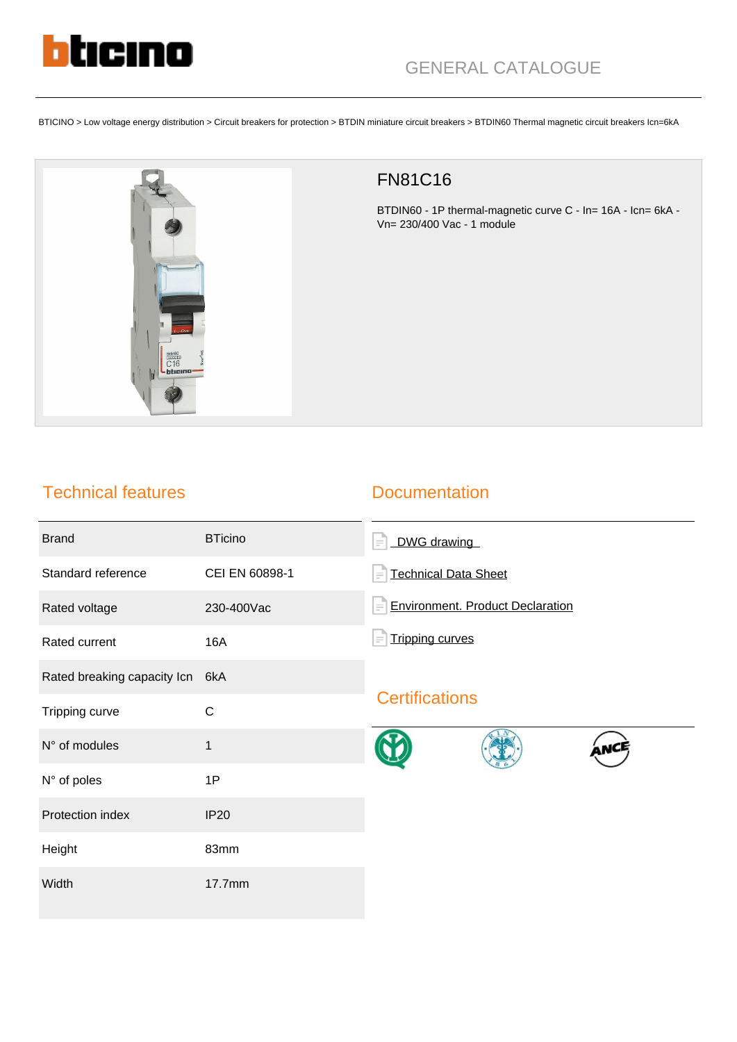

BTICINO > Low voltage energy distribution > Circuit breakers for protection > BTDIN miniature circuit breakers > BTDIN60 Thermal magnetic circuit breakers Icn=6kA



## FN81C16

BTDIN60 - 1P thermal-magnetic curve C - In= 16A - Icn= 6kA - Vn= 230/400 Vac - 1 module

## Technical features

## **Documentation**

| <b>Brand</b>                | <b>BTicino</b> | DWG drawing<br>$\equiv$                             |
|-----------------------------|----------------|-----------------------------------------------------|
| Standard reference          | CEI EN 60898-1 | <b>Technical Data Sheet</b><br>$=$                  |
| Rated voltage               | 230-400Vac     | <b>Environment. Product Declaration</b><br>$\equiv$ |
| Rated current               | 16A            | <b>Tripping curves</b><br>Ξ                         |
| Rated breaking capacity Icn | 6kA            |                                                     |
| Tripping curve              | $\mathsf{C}$   | <b>Certifications</b>                               |
| N° of modules               | $\mathbf{1}$   |                                                     |
| N° of poles                 | 1P             |                                                     |
| Protection index            | <b>IP20</b>    |                                                     |
| Height                      | 83mm           |                                                     |
| Width                       | 17.7mm         |                                                     |